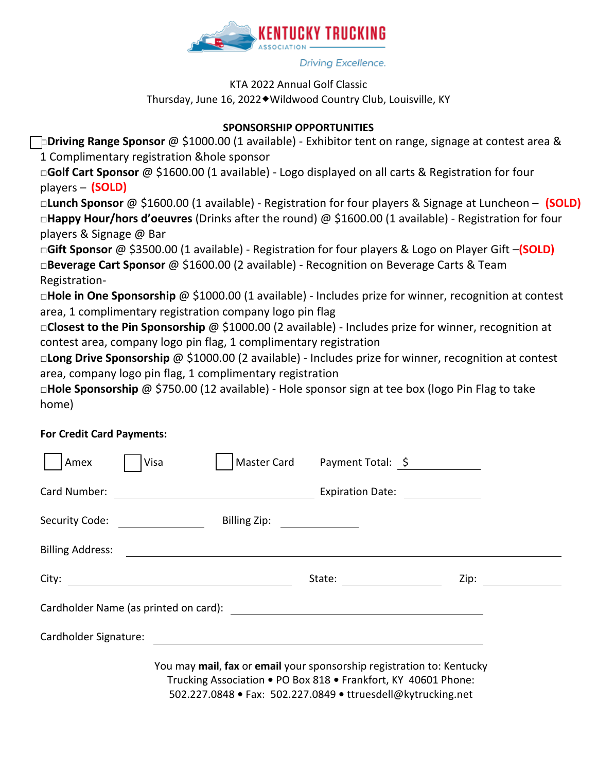

#### Driving Excellence.

### KTA 2022 Annual Golf Classic Thursday, June 16, 2022◆Wildwood Country Club, Louisville, KY

## **SPONSORSHIP OPPORTUNITIES**

**□Driving Range Sponsor** @ \$1000.00 (1 available) - Exhibitor tent on range, signage at contest area & 1 Complimentary registration &hole sponsor

**□Golf Cart Sponsor** @ \$1600.00 (1 available) - Logo displayed on all carts & Registration for four players – **(SOLD)**

**□Lunch Sponsor** @ \$1600.00 (1 available) - Registration for four players & Signage at Luncheon – **(SOLD) □Happy Hour/hors d'oeuvres** (Drinks after the round) @ \$1600.00 (1 available) - Registration for four players & Signage @ Bar

**□Gift Sponsor** @ \$3500.00 (1 available) - Registration for four players & Logo on Player Gift –**(SOLD) □Beverage Cart Sponsor** @ \$1600.00 (2 available) - Recognition on Beverage Carts & Team Registration-

**□Hole in One Sponsorship** @ \$1000.00 (1 available) - Includes prize for winner, recognition at contest area, 1 complimentary registration company logo pin flag

**□Closest to the Pin Sponsorship** @ \$1000.00 (2 available) - Includes prize for winner, recognition at contest area, company logo pin flag, 1 complimentary registration

**□Long Drive Sponsorship** @ \$1000.00 (2 available) - Includes prize for winner, recognition at contest area, company logo pin flag, 1 complimentary registration

**□Hole Sponsorship** @ \$750.00 (12 available) - Hole sponsor sign at tee box (logo Pin Flag to take home)

## **For Credit Card Payments:**

| Amex                    | Visa |                              | Master Card Payment Total: \$                                                                                                           |      |
|-------------------------|------|------------------------------|-----------------------------------------------------------------------------------------------------------------------------------------|------|
| Card Number:            |      |                              | Expiration Date: <u>________</u>                                                                                                        |      |
|                         |      | Billing Zip: _______________ |                                                                                                                                         |      |
| <b>Billing Address:</b> |      |                              |                                                                                                                                         |      |
| City:                   |      |                              |                                                                                                                                         | Zip: |
|                         |      |                              |                                                                                                                                         |      |
|                         |      |                              |                                                                                                                                         |      |
|                         |      |                              | You may mail, fax or email your sponsorship registration to: Kentucky<br>Trucking Association . PO Box 818 . Frankfort, KY 40601 Phone: |      |

502.227.0848 **•** Fax: 502.227.0849 **•** ttruesdell@kytrucking.net